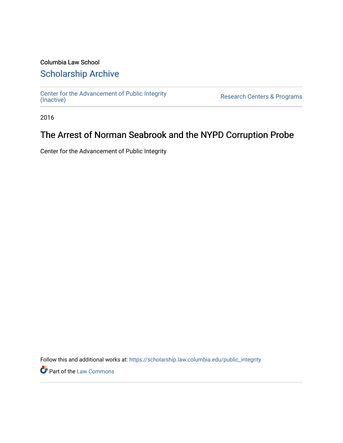# Columbia Law School

## [Scholarship Archive](https://scholarship.law.columbia.edu/)

[Center for the Advancement of Public Integrity](https://scholarship.law.columbia.edu/public_integrity)<br>(Inactive)

Research Centers & Programs

2016

# The Arrest of Norman Seabrook and the NYPD Corruption Probe

Center for the Advancement of Public Integrity

Follow this and additional works at: [https://scholarship.law.columbia.edu/public\\_integrity](https://scholarship.law.columbia.edu/public_integrity?utm_source=scholarship.law.columbia.edu%2Fpublic_integrity%2F84&utm_medium=PDF&utm_campaign=PDFCoverPages)

**Part of the [Law Commons](http://network.bepress.com/hgg/discipline/578?utm_source=scholarship.law.columbia.edu%2Fpublic_integrity%2F84&utm_medium=PDF&utm_campaign=PDFCoverPages)**